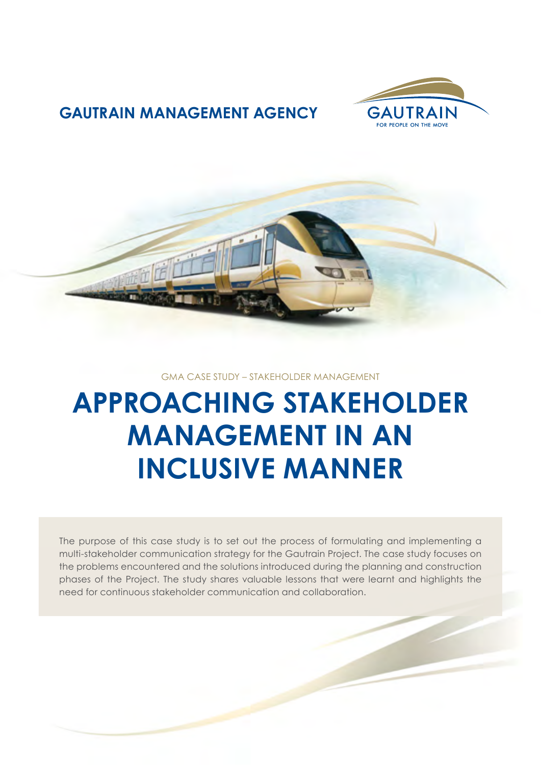

### **GAUTRAIN MANAGEMENT AGENCY**



#### GMA CASE STUDY – STAKEHOLDER MANAGEMENT

# **APPROACHING STAKEHOLDER MANAGEMENT IN AN INCLUSIVE MANNER**

The purpose of this case study is to set out the process of formulating and implementing a multi-stakeholder communication strategy for the Gautrain Project. The case study focuses on the problems encountered and the solutions introduced during the planning and construction phases of the Project. The study shares valuable lessons that were learnt and highlights the need for continuous stakeholder communication and collaboration.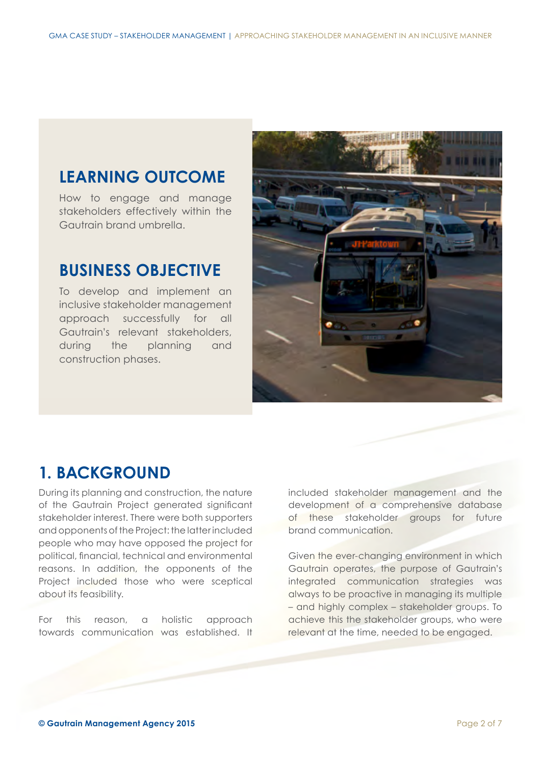# **LEARNING OUTCOME**

How to engage and manage stakeholders effectively within the Gautrain brand umbrella.

#### **BUSINESS OBJECTIVE**

To develop and implement an inclusive stakeholder management approach successfully for all Gautrain's relevant stakeholders, during the planning and construction phases.



# **1. BACKGROUND**

During its planning and construction, the nature of the Gautrain Project generated significant stakeholder interest. There were both supporters and opponents of the Project: the latter included people who may have opposed the project for political, financial, technical and environmental reasons. In addition, the opponents of the Project included those who were sceptical about its feasibility.

For this reason, a holistic approach towards communication was established. It included stakeholder management and the development of a comprehensive database of these stakeholder groups for future brand communication.

Given the ever-changing environment in which Gautrain operates, the purpose of Gautrain's integrated communication strategies was always to be proactive in managing its multiple – and highly complex – stakeholder groups. To achieve this the stakeholder groups, who were relevant at the time, needed to be engaged.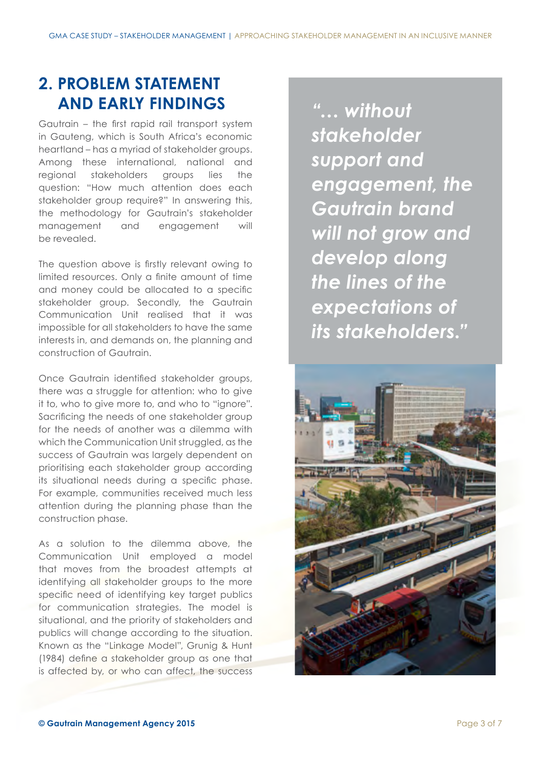# **2. PROBLEM STATEMENT AND EARLY FINDINGS**

Gautrain – the first rapid rail transport system in Gauteng, which is South Africa's economic heartland – has a myriad of stakeholder groups. Among these international, national and regional stakeholders groups lies the question: "How much attention does each stakeholder group require?" In answering this, the methodology for Gautrain's stakeholder management and engagement will be revealed.

The question above is firstly relevant owing to limited resources. Only a finite amount of time and money could be allocated to a specific stakeholder group. Secondly, the Gautrain Communication Unit realised that it was impossible for all stakeholders to have the same interests in, and demands on, the planning and construction of Gautrain.

Once Gautrain identified stakeholder groups, there was a struggle for attention: who to give it to, who to give more to, and who to "ignore". Sacrificing the needs of one stakeholder group for the needs of another was a dilemma with which the Communication Unit struggled, as the success of Gautrain was largely dependent on prioritising each stakeholder group according its situational needs during a specific phase. For example, communities received much less attention during the planning phase than the construction phase.

As a solution to the dilemma above, the Communication Unit employed a model that moves from the broadest attempts at identifying all stakeholder groups to the more specific need of identifying key target publics for communication strategies. The model is situational, and the priority of stakeholders and publics will change according to the situation. Known as the "Linkage Model", Grunig & Hunt (1984) define a stakeholder group as one that is affected by, or who can affect, the success

*"… without stakeholder support and engagement, the Gautrain brand will not grow and develop along the lines of the expectations of its stakeholders."*

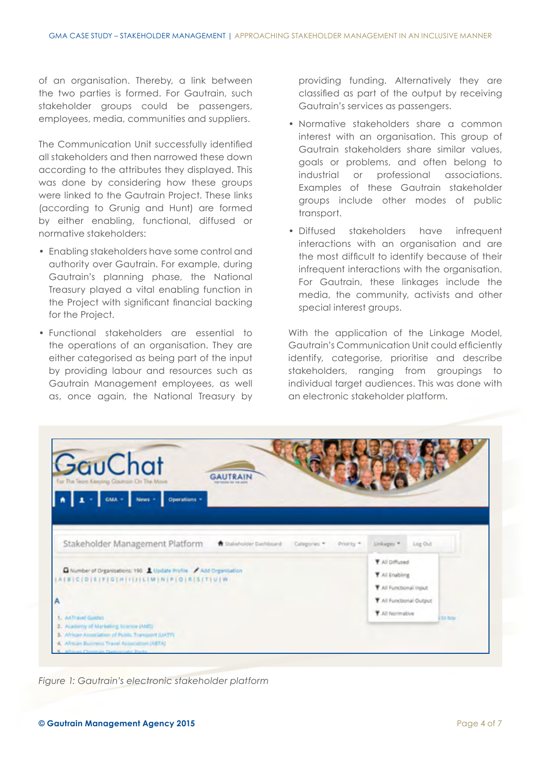of an organisation. Thereby, a link between the two parties is formed. For Gautrain, such stakeholder groups could be passengers, employees, media, communities and suppliers.

The Communication Unit successfully identified all stakeholders and then narrowed these down according to the attributes they displayed. This was done by considering how these groups were linked to the Gautrain Project. These links (according to Grunig and Hunt) are formed by either enabling, functional, diffused or normative stakeholders:

- Enabling stakeholders have some control and authority over Gautrain. For example, during Gautrain's planning phase, the National Treasury played a vital enabling function in the Project with significant financial backing for the Project.
- Functional stakeholders are essential to the operations of an organisation. They are either categorised as being part of the input by providing labour and resources such as Gautrain Management employees, as well as, once again, the National Treasury by

providing funding. Alternatively they are classified as part of the output by receiving Gautrain's services as passengers.

- Normative stakeholders share a common interest with an organisation. This group of Gautrain stakeholders share similar values, goals or problems, and often belong to industrial or professional associations. Examples of these Gautrain stakeholder groups include other modes of public transport.
- Diffused stakeholders have infrequent interactions with an organisation and are the most difficult to identify because of their infrequent interactions with the organisation. For Gautrain, these linkages include the media, the community, activists and other special interest groups.

With the application of the Linkage Model, Gautrain's Communication Unit could efficiently identify, categorise, prioritise and describe stakeholders, ranging from groupings to individual target audiences. This was done with an electronic stakeholder platform.



*Figure 1: Gautrain's electronic stakeholder platform*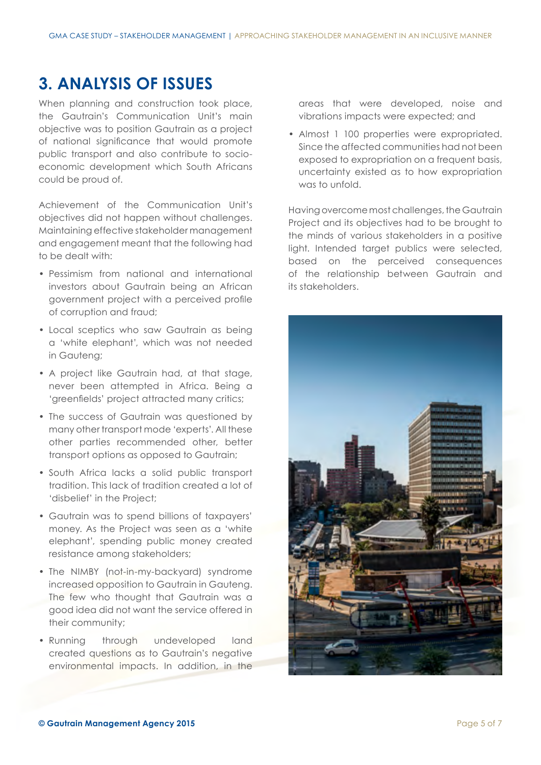## **3. ANALYSIS OF ISSUES**

When planning and construction took place, the Gautrain's Communication Unit's main objective was to position Gautrain as a project of national significance that would promote public transport and also contribute to socioeconomic development which South Africans could be proud of.

Achievement of the Communication Unit's objectives did not happen without challenges. Maintaining effective stakeholder management and engagement meant that the following had to be dealt with:

- Pessimism from national and international investors about Gautrain being an African government project with a perceived profile of corruption and fraud;
- Local sceptics who saw Gautrain as being a 'white elephant', which was not needed in Gauteng;
- A project like Gautrain had, at that stage, never been attempted in Africa. Being a 'greenfields' project attracted many critics;
- The success of Gautrain was questioned by many other transport mode 'experts'. All these other parties recommended other, better transport options as opposed to Gautrain;
- South Africa lacks a solid public transport tradition. This lack of tradition created a lot of 'disbelief' in the Project;
- Gautrain was to spend billions of taxpayers' money. As the Project was seen as a 'white elephant', spending public money created resistance among stakeholders;
- The NIMBY (not-in-my-backyard) syndrome increased opposition to Gautrain in Gauteng. The few who thought that Gautrain was a good idea did not want the service offered in their community;
- Running through undeveloped land created questions as to Gautrain's negative environmental impacts. In addition, in the

areas that were developed, noise and vibrations impacts were expected; and

• Almost 1 100 properties were expropriated. Since the affected communities had not been exposed to expropriation on a frequent basis, uncertainty existed as to how expropriation was to unfold.

Having overcome most challenges, the Gautrain Project and its objectives had to be brought to the minds of various stakeholders in a positive light. Intended target publics were selected, based on the perceived consequences of the relationship between Gautrain and its stakeholders.

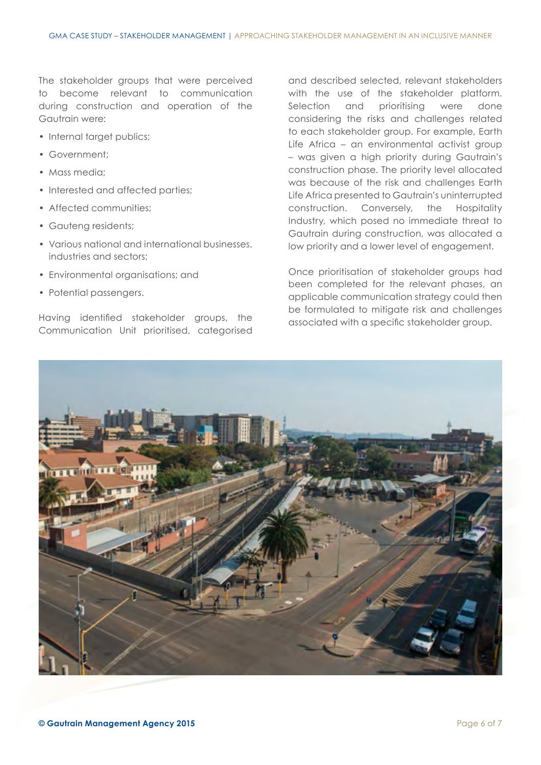The stakeholder groups that were perceived to become relevant to communication during construction and operation of the Gautrain were:

- Internal target publics;
- Government;
- Mass media;
- Interested and affected parties;
- Affected communities;
- Gauteng residents;
- Various national and international businesses, industries and sectors;
- Environmental organisations; and
- Potential passengers.

Having identified stakeholder groups, the Communication Unit prioritised, categorised and described selected, relevant stakeholders with the use of the stakeholder platform. Selection and prioritising were done considering the risks and challenges related to each stakeholder group. For example, Earth Life Africa – an environmental activist group – was given a high priority during Gautrain's construction phase. The priority level allocated was because of the risk and challenges Earth Life Africa presented to Gautrain's uninterrupted construction. Conversely, the Hospitality Industry, which posed no immediate threat to Gautrain during construction, was allocated a low priority and a lower level of engagement.

Once prioritisation of stakeholder groups had been completed for the relevant phases, an applicable communication strategy could then be formulated to mitigate risk and challenges associated with a specific stakeholder group.